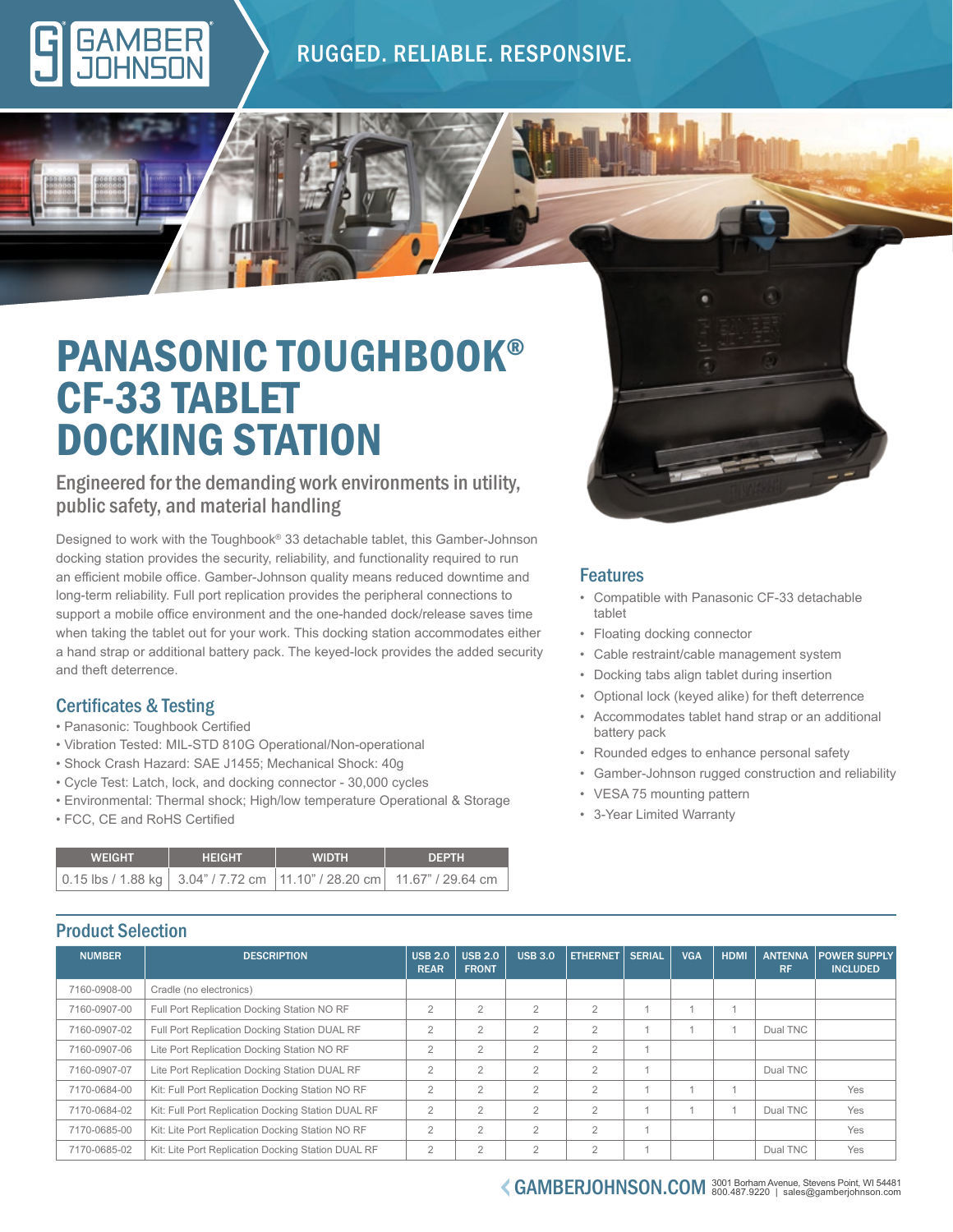### RUGGED. RELIABLE. RESPONSIVE.

## PANASONIC TOUGHBOOK® CF-33 TABLET DOCKING STATION

#### Engineered for the demanding work environments in utility, public safety, and material handling

Designed to work with the Toughbook® 33 detachable tablet, this Gamber-Johnson docking station provides the security, reliability, and functionality required to run an efficient mobile office. Gamber-Johnson quality means reduced downtime and long-term reliability. Full port replication provides the peripheral connections to support a mobile office environment and the one-handed dock/release saves time when taking the tablet out for your work. This docking station accommodates either a hand strap or additional battery pack. The keyed-lock provides the added security and theft deterrence.

#### Certificates & Testing

- Panasonic: Toughbook Certified
- Vibration Tested: MIL-STD 810G Operational/Non-operational
- Shock Crash Hazard: SAE J1455; Mechanical Shock: 40g
- Cycle Test: Latch, lock, and docking connector 30,000 cycles
- Environmental: Thermal shock; High/low temperature Operational & Storage
- FCC, CE and RoHS Certified

| <b>WEIGHT</b> | <b>HEIGHT</b> | <b>WIDTH</b> | <b>DEPTH</b>                                                                 |  |  |
|---------------|---------------|--------------|------------------------------------------------------------------------------|--|--|
|               |               |              | 0.15 lbs / 1.88 kg   3.04" / 7.72 cm   11.10" / 28.20 cm   11.67" / 29.64 cm |  |  |

#### Features

- Compatible with Panasonic CF-33 detachable tablet
- Floating docking connector
- Cable restraint/cable management system
- Docking tabs align tablet during insertion
- Optional lock (keyed alike) for theft deterrence
- Accommodates tablet hand strap or an additional battery pack
- Rounded edges to enhance personal safety
- Gamber-Johnson rugged construction and reliability
- VESA 75 mounting pattern
- 3-Year Limited Warranty

### Product Selection

| <b>NUMBER</b> | <b>DESCRIPTION</b>                                 | <b>USB 2.0</b><br><b>REAR</b> | <b>USB 2.0</b><br><b>FRONT</b> | <b>USB 3.0</b> | <b>ETHERNET</b> | <b>SERIAL</b>  | <b>VGA</b> | <b>HDMI</b> | <b>ANTENNA</b><br><b>RF</b> | <b>POWER SUPPLY</b><br><b>INCLUDED</b> |  |  |
|---------------|----------------------------------------------------|-------------------------------|--------------------------------|----------------|-----------------|----------------|------------|-------------|-----------------------------|----------------------------------------|--|--|
| 7160-0908-00  | Cradle (no electronics)                            |                               |                                |                |                 |                |            |             |                             |                                        |  |  |
| 7160-0907-00  | Full Port Replication Docking Station NO RF        | $\overline{2}$                | $\overline{2}$                 | $\overline{2}$ | $\overline{2}$  |                |            |             |                             |                                        |  |  |
| 7160-0907-02  | Full Port Replication Docking Station DUAL RF      | $\overline{2}$                | $\overline{2}$                 | $\overline{2}$ | $\overline{2}$  |                |            | 1           | Dual TNC                    |                                        |  |  |
| 7160-0907-06  | Lite Port Replication Docking Station NO RF        | $\overline{2}$                | $\overline{2}$                 | $\overline{2}$ | $\overline{2}$  | $\overline{A}$ |            |             |                             |                                        |  |  |
| 7160-0907-07  | Lite Port Replication Docking Station DUAL RF      | $\overline{2}$                | $\overline{2}$                 | $\overline{2}$ | $\overline{2}$  |                |            |             | Dual TNC                    |                                        |  |  |
| 7170-0684-00  | Kit: Full Port Replication Docking Station NO RF   | $\overline{2}$                | $\overline{2}$                 | $\overline{2}$ | $\mathfrak{D}$  |                |            |             |                             | Yes                                    |  |  |
| 7170-0684-02  | Kit: Full Port Replication Docking Station DUAL RF | $\overline{2}$                | $\overline{2}$                 | $\overline{2}$ | $\overline{2}$  |                |            |             | Dual TNC                    | Yes                                    |  |  |
| 7170-0685-00  | Kit: Lite Port Replication Docking Station NO RF   | $\overline{2}$                | $\overline{2}$                 | $\overline{2}$ | $\overline{2}$  |                |            |             |                             | Yes                                    |  |  |
| 7170-0685-02  | Kit: Lite Port Replication Docking Station DUAL RF | $\overline{2}$                | $\overline{2}$                 | $\overline{2}$ | $\overline{2}$  |                |            |             | Dual TNC                    | Yes                                    |  |  |